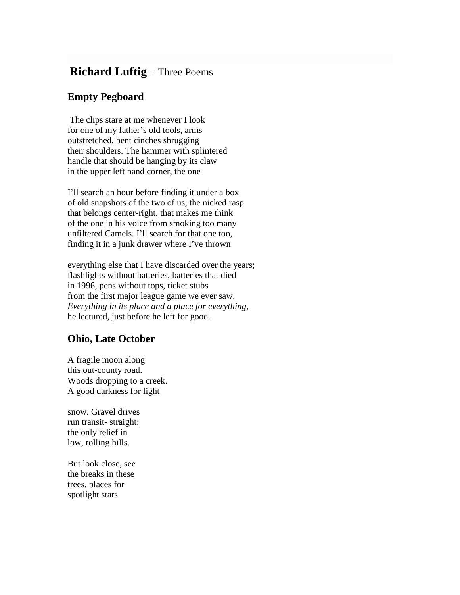## **Richard Luftig** – Three Poems

## **Empty Pegboard**

The clips stare at me whenever I look for one of my father's old tools, arms outstretched, bent cinches shrugging their shoulders. The hammer with splintered handle that should be hanging by its claw in the upper left hand corner, the one

I'll search an hour before finding it under a box of old snapshots of the two of us, the nicked rasp that belongs center-right, that makes me think of the one in his voice from smoking too many unfiltered Camels. I'll search for that one too, finding it in a junk drawer where I've thrown

everything else that I have discarded over the years; flashlights without batteries, batteries that died in 1996, pens without tops, ticket stubs from the first major league game we ever saw. *Everything in its place and a place for everything,* he lectured, just before he left for good.

## **Ohio, Late October**

A fragile moon along this out-county road. Woods dropping to a creek. A good darkness for light

snow. Gravel drives run transit- straight; the only relief in low, rolling hills.

But look close, see the breaks in these trees, places for spotlight stars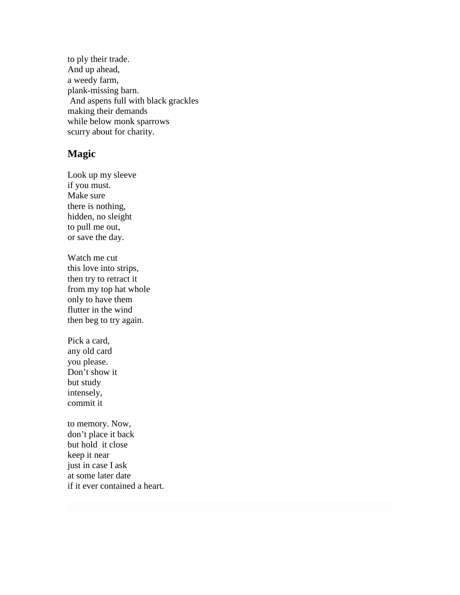to ply their trade. And up ahead, a weedy farm, plank-missing barn. And aspens full with black grackles making their demands while below monk sparrows scurry about for charity.

## **Magic**

Look up my sleeve if you must. Make sure there is nothing, hidden, no sleight to pull me out, or save the day.

Watch me cut this love into strips, then try to retract it from my top hat whole only to have them flutter in the wind then beg to try again.

Pick a card, any old card you please. Don't show it but study intensely, commit it

to memory. Now, don't place it back but hold it close keep it near just in case I ask at some later date if it ever contained a heart.